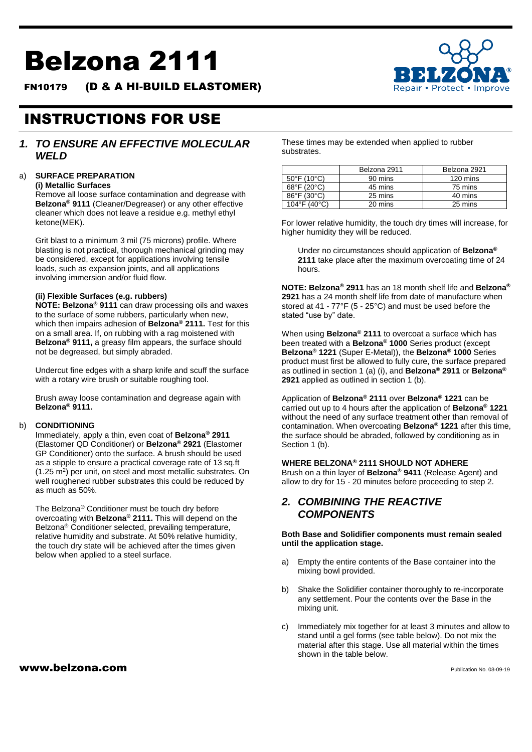# Belzona 2111

FN10179 (D & A HI-BUILD ELASTOMER)



## INSTRUCTIONS FOR USE

## *1. TO ENSURE AN EFFECTIVE MOLECULAR WELD*

## a) **SURFACE PREPARATION**

**(i) Metallic Surfaces**

Remove all loose surface contamination and degrease with **Belzona® 9111** (Cleaner/Degreaser) or any other effective cleaner which does not leave a residue e.g. methyl ethyl ketone(MEK).

Grit blast to a minimum 3 mil (75 microns) profile. Where blasting is not practical, thorough mechanical grinding may be considered, except for applications involving tensile loads, such as expansion joints, and all applications involving immersion and/or fluid flow.

## **(ii) Flexible Surfaces (e.g. rubbers)**

**NOTE: Belzona® 9111** can draw processing oils and waxes to the surface of some rubbers, particularly when new, which then impairs adhesion of **Belzona® 2111.** Test for this on a small area. If, on rubbing with a rag moistened with **Belzona® 9111,** a greasy film appears, the surface should not be degreased, but simply abraded.

Undercut fine edges with a sharp knife and scuff the surface with a rotary wire brush or suitable roughing tool.

Brush away loose contamination and degrease again with **Belzona® 9111.**

#### b) **CONDITIONING**

Immediately, apply a thin, even coat of **Belzona® 2911**  (Elastomer QD Conditioner) or **Belzona® 2921** (Elastomer GP Conditioner) onto the surface. A brush should be used as a stipple to ensure a practical coverage rate of 13 sq.ft (1.25 m<sup>2</sup>) per unit, on steel and most metallic substrates. On well roughened rubber substrates this could be reduced by as much as 50%.

The Belzona® Conditioner must be touch dry before overcoating with **Belzona® 2111.** This will depend on the Belzona® Conditioner selected, prevailing temperature, relative humidity and substrate. At 50% relative humidity, the touch dry state will be achieved after the times given below when applied to a steel surface.

 $www.beIzona.com$ 

These times may be extended when applied to rubber substrates.

|                                  | Belzona 2911 | Belzona 2921 |  |
|----------------------------------|--------------|--------------|--|
| $50^{\circ}$ F (10 $^{\circ}$ C) | 90 mins      | 120 mins     |  |
| 68°F (20°C)                      | 45 mins      | 75 mins      |  |
| $86^{\circ}$ F (30 $^{\circ}$ C) | 25 mins      | 40 mins      |  |
| 104°F (40°C)                     | 20 mins      | 25 mins      |  |

For lower relative humidity, the touch dry times will increase, for higher humidity they will be reduced.

Under no circumstances should application of **Belzona® 2111** take place after the maximum overcoating time of 24 hours.

**NOTE: Belzona® 2911** has an 18 month shelf life and **Belzona® 2921** has a 24 month shelf life from date of manufacture when stored at 41 - 77°F (5 - 25°C) and must be used before the stated "use by" date.

When using **Belzona® 2111** to overcoat a surface which has been treated with a **Belzona® 1000** Series product (except **Belzona® 1221** (Super E-Metal)), the **Belzona® 1000** Series product must first be allowed to fully cure, the surface prepared as outlined in section 1 (a) (i), and **Belzona® 2911** or **Belzona® 2921** applied as outlined in section 1 (b).

Application of **Belzona® 2111** over **Belzona® 1221** can be carried out up to 4 hours after the application of **Belzona® 1221**  without the need of any surface treatment other than removal of contamination. When overcoating **Belzona® 1221** after this time, the surface should be abraded, followed by conditioning as in Section 1 (b).

#### **WHERE BELZONA® 2111 SHOULD NOT ADHERE**

Brush on a thin layer of **Belzona® 9411** (Release Agent) and allow to dry for 15 - 20 minutes before proceeding to step 2.

## *2. COMBINING THE REACTIVE COMPONENTS*

**Both Base and Solidifier components must remain sealed until the application stage.**

- a) Empty the entire contents of the Base container into the mixing bowl provided.
- b) Shake the Solidifier container thoroughly to re-incorporate any settlement. Pour the contents over the Base in the mixing unit.
- c) Immediately mix together for at least 3 minutes and allow to stand until a gel forms (see table below). Do not mix the material after this stage. Use all material within the times shown in the table below.